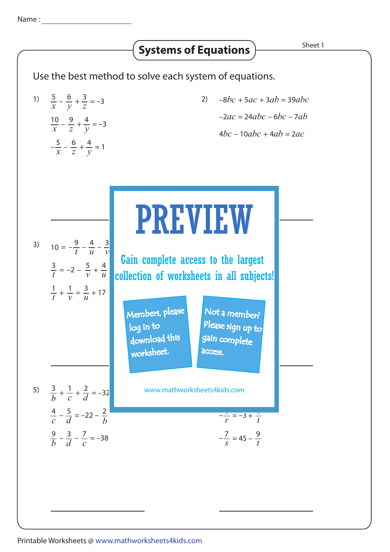## Use the best method to solve each system of equations. 1)  $\frac{5}{x} - \frac{6}{y} + \frac{3}{z} = -3$  (2) 3)  $10 = -\frac{9}{4} - \frac{4}{4} - \frac{3}{4}$ 5)  $\frac{3}{1} + \frac{1}{4} + \frac{2}{4} = -32$  www.mathworkshee *b* 1  $\frac{1}{c} + \frac{2}{d}$ *d*  $=-22 - \frac{2}{1}$ *b* 4  $rac{4}{c}$  –  $rac{5}{d}$ *d*  $\frac{9}{4} - \frac{3}{4} - \frac{7}{4} = -38$ *b* 7  $\frac{3}{d}$  –  $\frac{7}{c}$ *d* **Systems of Equations**  $\overline{\phantom{a}}$  **Sheet 1** 10  $\frac{10}{x} - \frac{9}{z} + \frac{4}{y} = -3$ *y*  $\frac{5}{x} - \frac{6}{z} + \frac{4}{y} = 1$ 6  $\frac{6}{z} + \frac{4}{y}$  $-\frac{3}{x} - \frac{6}{z} + \frac{7}{y}$ 6  $\frac{6}{y} + \frac{3}{z}$ *z* 4*bc* – 10*abc* + 4*ab* = 2*ac* –2*ac* = 24*abc* – 6*bc* – 7*ab* –8*bc* + 5*ac* + 3*ab* = 39*abc* www.mathworksheets4kids.com  $-\frac{7}{s}$  = 45 – 9 *t*  $\frac{z}{r} = -3 + \frac{z}{t}$  $\frac{z}{r} = -3 + \frac{z}{t}$  $\frac{3}{4} = -2$  – *t* 4  $\frac{5}{v} + \frac{4}{u}$  $-2 - \frac{3}{v}$ *t* 4  $\frac{4}{u} - \frac{3}{v}$  $10 = -\frac{5}{t} - \frac{4}{u} - \frac{5}{v}$ 1  $\frac{1}{t} + \frac{1}{v} = \frac{3}{u}$  $+\frac{1}{v}=\frac{3}{u}$  $\frac{1}{v} = \frac{3}{u} + 17$ *p r p* <sup>+</sup> = –17 <sup>7</sup> *r q* **collection of worksheets in all subjects!** 6 Gain complete access to the largest PREVIEW Members, please download this worksheet. log in to Not a member? gain complete Please sign up to **access**

## Printable Worksheets @ www.mathworksheets4kids.com